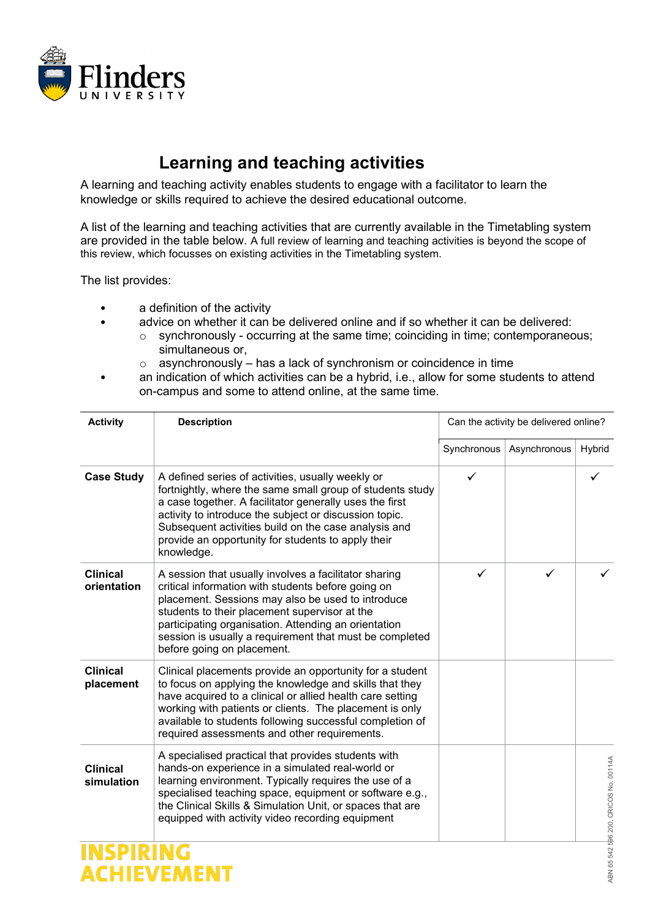

## **Learning and teaching activities**

A learning and teaching activity enables students to engage with a facilitator to learn the knowledge or skills required to achieve the desired educational outcome.

A list of the learning and teaching activities that are currently available in the Timetabling system are provided in the table below. A full review of learning and teaching activities is beyond the scope of this review, which focusses on existing activities in the Timetabling system.

The list provides:

a definition of the activity

- advice on whether it can be delivered online and if so whether it can be delivered:
	- o synchronously occurring at the same time; coinciding in time; contemporaneous; simultaneous or,
	- $\circ$  asynchronously has a lack of synchronism or coincidence in time
- an indication of which activities can be a hybrid, i.e., allow for some students to attend on-campus and some to attend online, at the same time.

| <b>Activity</b>                | <b>Description</b>                                                                                                                                                                                                                                                                                                                                                 | Can the activity be delivered online? |              |                                       |
|--------------------------------|--------------------------------------------------------------------------------------------------------------------------------------------------------------------------------------------------------------------------------------------------------------------------------------------------------------------------------------------------------------------|---------------------------------------|--------------|---------------------------------------|
|                                |                                                                                                                                                                                                                                                                                                                                                                    | Synchronous                           | Asynchronous | Hybrid                                |
| <b>Case Study</b>              | A defined series of activities, usually weekly or<br>fortnightly, where the same small group of students study<br>a case together. A facilitator generally uses the first<br>activity to introduce the subject or discussion topic.<br>Subsequent activities build on the case analysis and<br>provide an opportunity for students to apply their<br>knowledge.    | $\checkmark$                          |              |                                       |
| <b>Clinical</b><br>orientation | A session that usually involves a facilitator sharing<br>critical information with students before going on<br>placement. Sessions may also be used to introduce<br>students to their placement supervisor at the<br>participating organisation. Attending an orientation<br>session is usually a requirement that must be completed<br>before going on placement. | ✓                                     | ✓            |                                       |
| <b>Clinical</b><br>placement   | Clinical placements provide an opportunity for a student<br>to focus on applying the knowledge and skills that they<br>have acquired to a clinical or allied health care setting<br>working with patients or clients. The placement is only<br>available to students following successful completion of<br>required assessments and other requirements.            |                                       |              |                                       |
| <b>Clinical</b><br>simulation  | A specialised practical that provides students with<br>hands-on experience in a simulated real-world or<br>learning environment. Typically requires the use of a<br>specialised teaching space, equipment or software e.g.,<br>the Clinical Skills & Simulation Unit, or spaces that are<br>equipped with activity video recording equipment                       |                                       |              | ABN 65 542 596 200, CRICOS No. 00114A |
|                                |                                                                                                                                                                                                                                                                                                                                                                    |                                       |              |                                       |
|                                |                                                                                                                                                                                                                                                                                                                                                                    |                                       |              |                                       |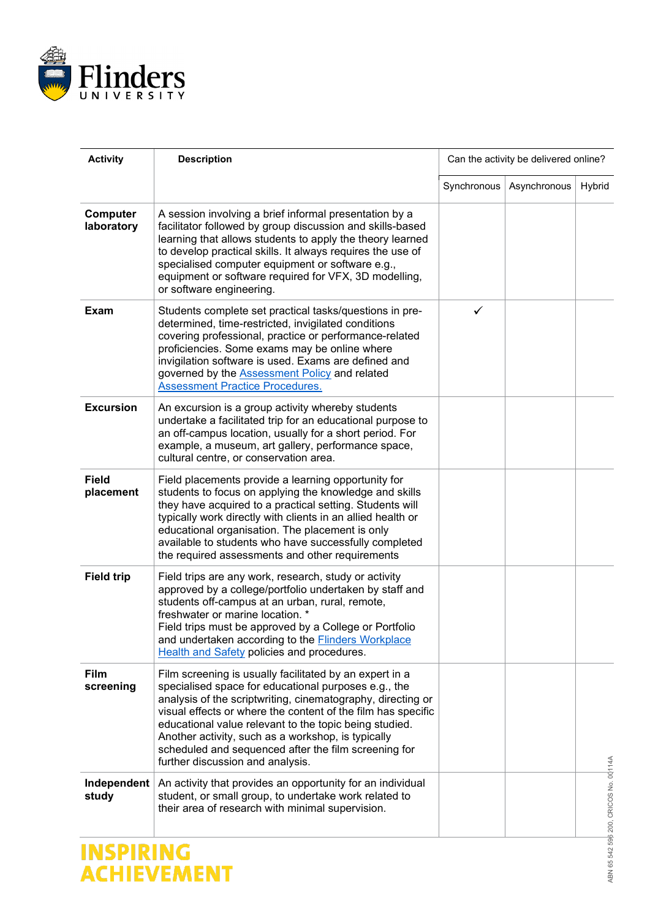

| <b>Activity</b>           | <b>Description</b>                                                                                                                                                                                                                                                                                                                                                                                                                                         | Can the activity be delivered online? |              |                                       |
|---------------------------|------------------------------------------------------------------------------------------------------------------------------------------------------------------------------------------------------------------------------------------------------------------------------------------------------------------------------------------------------------------------------------------------------------------------------------------------------------|---------------------------------------|--------------|---------------------------------------|
|                           |                                                                                                                                                                                                                                                                                                                                                                                                                                                            | Synchronous                           | Asynchronous | Hybrid                                |
| Computer<br>laboratory    | A session involving a brief informal presentation by a<br>facilitator followed by group discussion and skills-based<br>learning that allows students to apply the theory learned<br>to develop practical skills. It always requires the use of<br>specialised computer equipment or software e.g.,<br>equipment or software required for VFX, 3D modelling,<br>or software engineering.                                                                    |                                       |              |                                       |
| <b>Exam</b>               | Students complete set practical tasks/questions in pre-<br>determined, time-restricted, invigilated conditions<br>covering professional, practice or performance-related<br>proficiencies. Some exams may be online where<br>invigilation software is used. Exams are defined and<br>governed by the <b>Assessment Policy</b> and related<br><b>Assessment Practice Procedures.</b>                                                                        | ✓                                     |              |                                       |
| <b>Excursion</b>          | An excursion is a group activity whereby students<br>undertake a facilitated trip for an educational purpose to<br>an off-campus location, usually for a short period. For<br>example, a museum, art gallery, performance space,<br>cultural centre, or conservation area.                                                                                                                                                                                 |                                       |              |                                       |
| <b>Field</b><br>placement | Field placements provide a learning opportunity for<br>students to focus on applying the knowledge and skills<br>they have acquired to a practical setting. Students will<br>typically work directly with clients in an allied health or<br>educational organisation. The placement is only<br>available to students who have successfully completed<br>the required assessments and other requirements                                                    |                                       |              |                                       |
| <b>Field trip</b>         | Field trips are any work, research, study or activity<br>approved by a college/portfolio undertaken by staff and<br>students off-campus at an urban, rural, remote,<br>freshwater or marine location. *<br>Field trips must be approved by a College or Portfolio<br>and undertaken according to the <b>Flinders Workplace</b><br>Health and Safety policies and procedures.                                                                               |                                       |              |                                       |
| <b>Film</b><br>screening  | Film screening is usually facilitated by an expert in a<br>specialised space for educational purposes e.g., the<br>analysis of the scriptwriting, cinematography, directing or<br>visual effects or where the content of the film has specific<br>educational value relevant to the topic being studied.<br>Another activity, such as a workshop, is typically<br>scheduled and sequenced after the film screening for<br>further discussion and analysis. |                                       |              |                                       |
| Independent<br>study      | An activity that provides an opportunity for an individual<br>student, or small group, to undertake work related to<br>their area of research with minimal supervision.                                                                                                                                                                                                                                                                                    |                                       |              | ABN 65 542 596 200, CRICOS No. 00114A |
| <b>INSPIRING</b>          |                                                                                                                                                                                                                                                                                                                                                                                                                                                            |                                       |              |                                       |
| CHIEVEMENT                |                                                                                                                                                                                                                                                                                                                                                                                                                                                            |                                       |              |                                       |

## **INSPIRING<br>ACHIEVEMENT**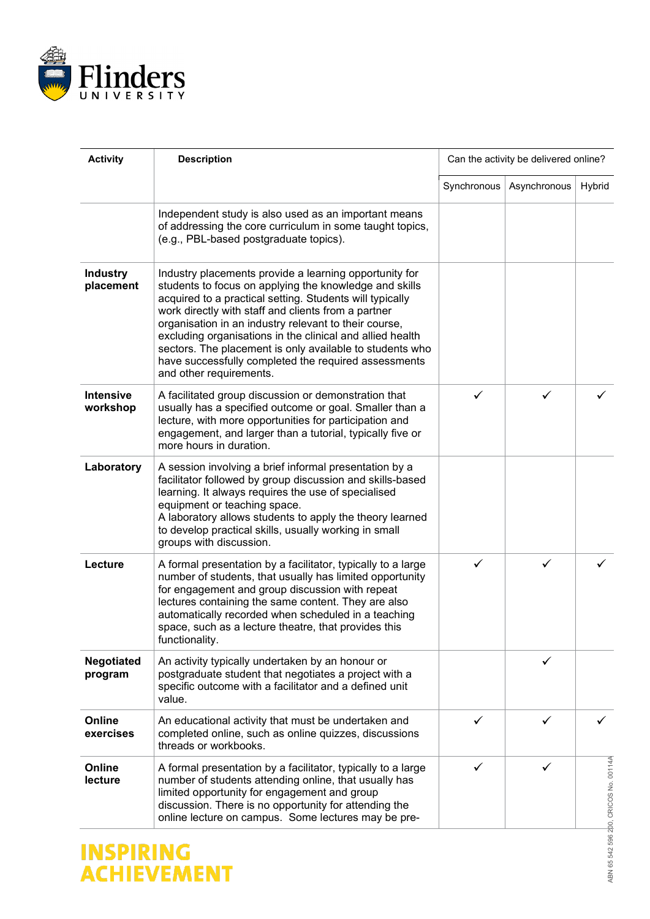

| <b>Activity</b>              | <b>Description</b>                                                                                                                                                                                                                                                                                                                                                                                                                                                                                       | Can the activity be delivered online? |              |                        |
|------------------------------|----------------------------------------------------------------------------------------------------------------------------------------------------------------------------------------------------------------------------------------------------------------------------------------------------------------------------------------------------------------------------------------------------------------------------------------------------------------------------------------------------------|---------------------------------------|--------------|------------------------|
|                              |                                                                                                                                                                                                                                                                                                                                                                                                                                                                                                          | Synchronous                           | Asynchronous | Hybrid                 |
|                              | Independent study is also used as an important means<br>of addressing the core curriculum in some taught topics,<br>(e.g., PBL-based postgraduate topics).                                                                                                                                                                                                                                                                                                                                               |                                       |              |                        |
| <b>Industry</b><br>placement | Industry placements provide a learning opportunity for<br>students to focus on applying the knowledge and skills<br>acquired to a practical setting. Students will typically<br>work directly with staff and clients from a partner<br>organisation in an industry relevant to their course,<br>excluding organisations in the clinical and allied health<br>sectors. The placement is only available to students who<br>have successfully completed the required assessments<br>and other requirements. |                                       |              |                        |
| <b>Intensive</b><br>workshop | A facilitated group discussion or demonstration that<br>usually has a specified outcome or goal. Smaller than a<br>lecture, with more opportunities for participation and<br>engagement, and larger than a tutorial, typically five or<br>more hours in duration.                                                                                                                                                                                                                                        | ✓                                     |              |                        |
| Laboratory                   | A session involving a brief informal presentation by a<br>facilitator followed by group discussion and skills-based<br>learning. It always requires the use of specialised<br>equipment or teaching space.<br>A laboratory allows students to apply the theory learned<br>to develop practical skills, usually working in small<br>groups with discussion.                                                                                                                                               |                                       |              |                        |
| Lecture                      | A formal presentation by a facilitator, typically to a large<br>number of students, that usually has limited opportunity<br>for engagement and group discussion with repeat<br>lectures containing the same content. They are also<br>automatically recorded when scheduled in a teaching<br>space, such as a lecture theatre, that provides this<br>functionality.                                                                                                                                      | $\checkmark$                          | ✓            |                        |
| <b>Negotiated</b><br>program | An activity typically undertaken by an honour or<br>postgraduate student that negotiates a project with a<br>specific outcome with a facilitator and a defined unit<br>value.                                                                                                                                                                                                                                                                                                                            |                                       | ✓            |                        |
| Online<br>exercises          | An educational activity that must be undertaken and<br>completed online, such as online quizzes, discussions<br>threads or workbooks.                                                                                                                                                                                                                                                                                                                                                                    | ✓                                     | ✓            | ✓                      |
| Online<br>lecture            | A formal presentation by a facilitator, typically to a large<br>number of students attending online, that usually has<br>limited opportunity for engagement and group<br>discussion. There is no opportunity for attending the<br>online lecture on campus. Some lectures may be pre-                                                                                                                                                                                                                    | ✓                                     | ✓            | 200, CRICOS No. 00114A |

## **INSPIRING<br>ACHIEVEMENT**

ABN 65 542 596 200, CRICOS No. 00114A ABN 65 542 596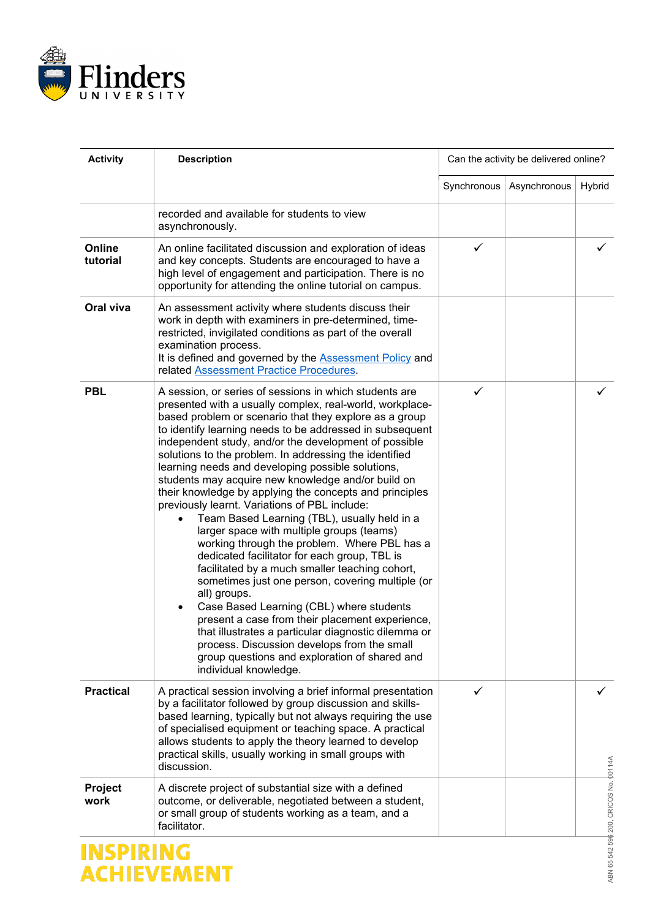

| <b>Activity</b>                | <b>Description</b>                                                                                                                                                                                                                                                                                                                                                                                                                                                                                                                                                                                                                                                                                                                                                                                                                                                                                                                                                                                                                                                                                                                                                                   | Can the activity be delivered online? |              |                                      |
|--------------------------------|--------------------------------------------------------------------------------------------------------------------------------------------------------------------------------------------------------------------------------------------------------------------------------------------------------------------------------------------------------------------------------------------------------------------------------------------------------------------------------------------------------------------------------------------------------------------------------------------------------------------------------------------------------------------------------------------------------------------------------------------------------------------------------------------------------------------------------------------------------------------------------------------------------------------------------------------------------------------------------------------------------------------------------------------------------------------------------------------------------------------------------------------------------------------------------------|---------------------------------------|--------------|--------------------------------------|
|                                |                                                                                                                                                                                                                                                                                                                                                                                                                                                                                                                                                                                                                                                                                                                                                                                                                                                                                                                                                                                                                                                                                                                                                                                      | Synchronous                           | Asynchronous | Hybrid                               |
|                                | recorded and available for students to view<br>asynchronously.                                                                                                                                                                                                                                                                                                                                                                                                                                                                                                                                                                                                                                                                                                                                                                                                                                                                                                                                                                                                                                                                                                                       |                                       |              |                                      |
| Online<br>tutorial             | An online facilitated discussion and exploration of ideas<br>and key concepts. Students are encouraged to have a<br>high level of engagement and participation. There is no<br>opportunity for attending the online tutorial on campus.                                                                                                                                                                                                                                                                                                                                                                                                                                                                                                                                                                                                                                                                                                                                                                                                                                                                                                                                              | ✓                                     |              |                                      |
| Oral viva                      | An assessment activity where students discuss their<br>work in depth with examiners in pre-determined, time-<br>restricted, invigilated conditions as part of the overall<br>examination process.<br>It is defined and governed by the <b>Assessment Policy</b> and<br>related Assessment Practice Procedures.                                                                                                                                                                                                                                                                                                                                                                                                                                                                                                                                                                                                                                                                                                                                                                                                                                                                       |                                       |              |                                      |
| <b>PBL</b>                     | A session, or series of sessions in which students are<br>presented with a usually complex, real-world, workplace-<br>based problem or scenario that they explore as a group<br>to identify learning needs to be addressed in subsequent<br>independent study, and/or the development of possible<br>solutions to the problem. In addressing the identified<br>learning needs and developing possible solutions,<br>students may acquire new knowledge and/or build on<br>their knowledge by applying the concepts and principles<br>previously learnt. Variations of PBL include:<br>Team Based Learning (TBL), usually held in a<br>larger space with multiple groups (teams)<br>working through the problem. Where PBL has a<br>dedicated facilitator for each group, TBL is<br>facilitated by a much smaller teaching cohort,<br>sometimes just one person, covering multiple (or<br>all) groups.<br>Case Based Learning (CBL) where students<br>present a case from their placement experience,<br>that illustrates a particular diagnostic dilemma or<br>process. Discussion develops from the small<br>group questions and exploration of shared and<br>individual knowledge. | ✓                                     |              |                                      |
| <b>Practical</b>               | A practical session involving a brief informal presentation<br>by a facilitator followed by group discussion and skills-<br>based learning, typically but not always requiring the use<br>of specialised equipment or teaching space. A practical<br>allows students to apply the theory learned to develop<br>practical skills, usually working in small groups with<br>discussion.                                                                                                                                                                                                                                                                                                                                                                                                                                                                                                                                                                                                                                                                                                                                                                                                 | ✓                                     |              |                                      |
| <b>Project</b><br>work         | A discrete project of substantial size with a defined<br>outcome, or deliverable, negotiated between a student,<br>or small group of students working as a team, and a<br>facilitator.                                                                                                                                                                                                                                                                                                                                                                                                                                                                                                                                                                                                                                                                                                                                                                                                                                                                                                                                                                                               |                                       |              | ABN 65 542 59 200, CRICOS No. 00114A |
| INSPIRING<br><b>CHIEVEMENT</b> |                                                                                                                                                                                                                                                                                                                                                                                                                                                                                                                                                                                                                                                                                                                                                                                                                                                                                                                                                                                                                                                                                                                                                                                      |                                       |              |                                      |